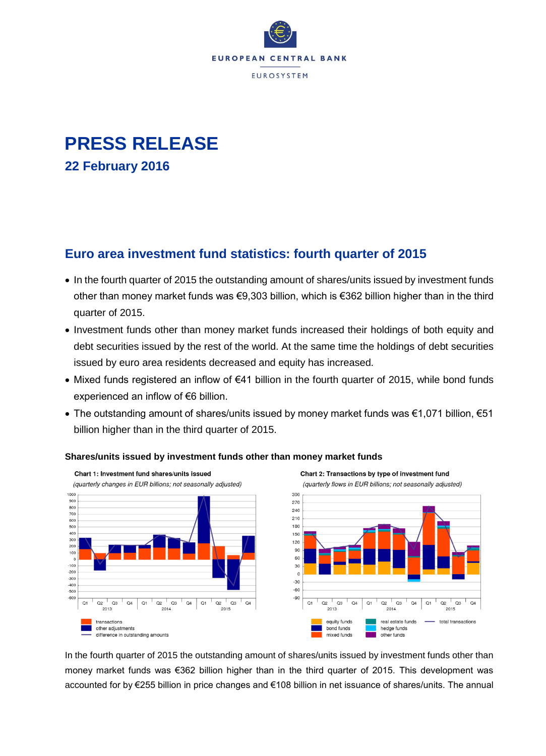

# **PRESS RELEASE 22 February 2016**

### **Euro area investment fund statistics: fourth quarter of 2015**

- In the fourth quarter of 2015 the outstanding amount of shares/units issued by investment funds other than money market funds was €9,303 billion, which is €362 billion higher than in the third quarter of 2015.
- Investment funds other than money market funds increased their holdings of both equity and debt securities issued by the rest of the world. At the same time the holdings of debt securities issued by euro area residents decreased and equity has increased.
- Mixed funds registered an inflow of €41 billion in the fourth quarter of 2015, while bond funds experienced an inflow of €6 billion.
- The outstanding amount of shares/units issued by money market funds was €1,071 billion, €51 billion higher than in the third quarter of 2015.



#### **Shares/units issued by investment funds other than money market funds**

In the fourth quarter of 2015 the outstanding amount of shares/units issued by investment funds other than money market funds was €362 billion higher than in the third quarter of 2015. This development was accounted for by €255 billion in price changes and €108 billion in net issuance of shares/units. The annual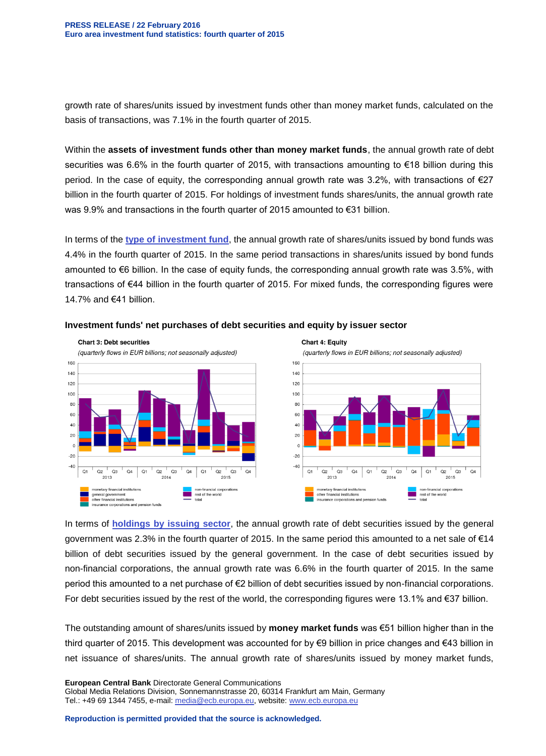growth rate of shares/units issued by investment funds other than money market funds, calculated on the basis of transactions, was 7.1% in the fourth quarter of 2015.

Within the **assets of investment funds other than money market funds**, the annual growth rate of debt securities was 6.6% in the fourth quarter of 2015, with transactions amounting to €18 billion during this period. In the case of equity, the corresponding annual growth rate was 3.2%, with transactions of €27 billion in the fourth quarter of 2015. For holdings of investment funds shares/units, the annual growth rate was 9.9% and transactions in the fourth quarter of 2015 amounted to €31 billion.

In terms of the **[type of investment fund](http://sdw.ecb.europa.eu/reports.do?node=1000003515)**, the annual growth rate of shares/units issued by bond funds was 4.4% in the fourth quarter of 2015. In the same period transactions in shares/units issued by bond funds amounted to €6 billion. In the case of equity funds, the corresponding annual growth rate was 3.5%, with transactions of €44 billion in the fourth quarter of 2015. For mixed funds, the corresponding figures were 14.7% and €41 billion.



#### **Investment funds' net purchases of debt securities and equity by issuer sector**

In terms of **[holdings by issuing sector](http://sdw.ecb.europa.eu/reports.do?node=1000003528)**, the annual growth rate of debt securities issued by the general government was 2.3% in the fourth quarter of 2015. In the same period this amounted to a net sale of €14 billion of debt securities issued by the general government. In the case of debt securities issued by non-financial corporations, the annual growth rate was 6.6% in the fourth quarter of 2015. In the same period this amounted to a net purchase of €2 billion of debt securities issued by non-financial corporations. For debt securities issued by the rest of the world, the corresponding figures were 13.1% and €37 billion.

The outstanding amount of shares/units issued by **money market funds** was €51 billion higher than in the third quarter of 2015. This development was accounted for by €9 billion in price changes and €43 billion in net issuance of shares/units. The annual growth rate of shares/units issued by money market funds,

**European Central Bank** Directorate General Communications Global Media Relations Division, Sonnemannstrasse 20, 60314 Frankfurt am Main, Germany Tel.: +49 69 1344 7455, e-mail: [media@ecb.europa.eu,](mailto:media@ecb.europa.eu) website[: www.ecb.europa.eu](http://www.ecb.europa.eu/)

**Reproduction is permitted provided that the source is acknowledged.**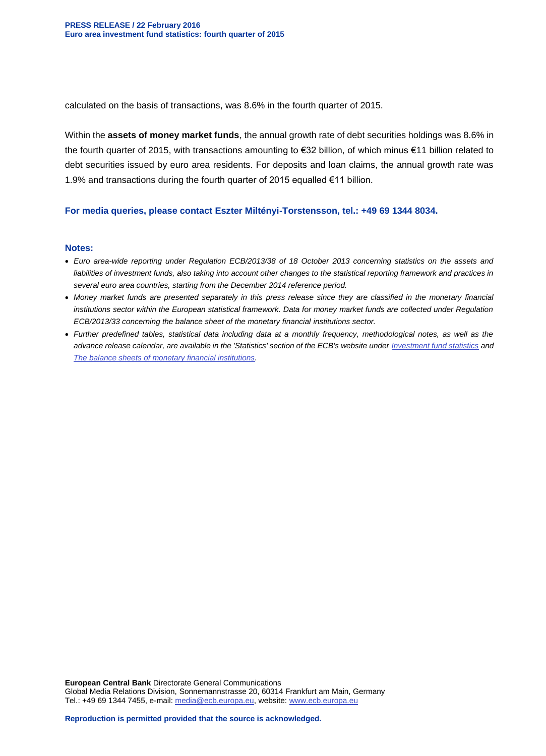calculated on the basis of transactions, was 8.6% in the fourth quarter of 2015.

Within the **assets of money market funds**, the annual growth rate of debt securities holdings was 8.6% in the fourth quarter of 2015, with transactions amounting to €32 billion, of which minus €11 billion related to debt securities issued by euro area residents. For deposits and loan claims, the annual growth rate was 1.9% and transactions during the fourth quarter of 2015 equalled €11 billion.

#### **For media queries, please contact Eszter Miltényi-Torstensson, tel.: +49 69 1344 8034.**

#### **Notes:**

- *Euro area-wide reporting under Regulation ECB/2013/38 of 18 October 2013 concerning statistics on the assets and liabilities of investment funds, also taking into account other changes to the statistical reporting framework and practices in several euro area countries, starting from the December 2014 reference period.*
- *Money market funds are presented separately in this press release since they are classified in the monetary financial institutions sector within the European statistical framework. Data for money market funds are collected under Regulation ECB/2013/33 concerning the balance sheet of the monetary financial institutions sector.*
- *Further predefined tables, statistical data including data at a monthly frequency, methodological notes, as well as the advance release calendar, are available in the 'Statistics' section of the ECB's website under [Investment fund statistics](http://www.ecb.europa.eu/stats/money/funds/html/index.en.html) and [The balance sheets of monetary financial institutions.](http://www.ecb.europa.eu/stats/money/aggregates/bsheets/html/index.en.html)*